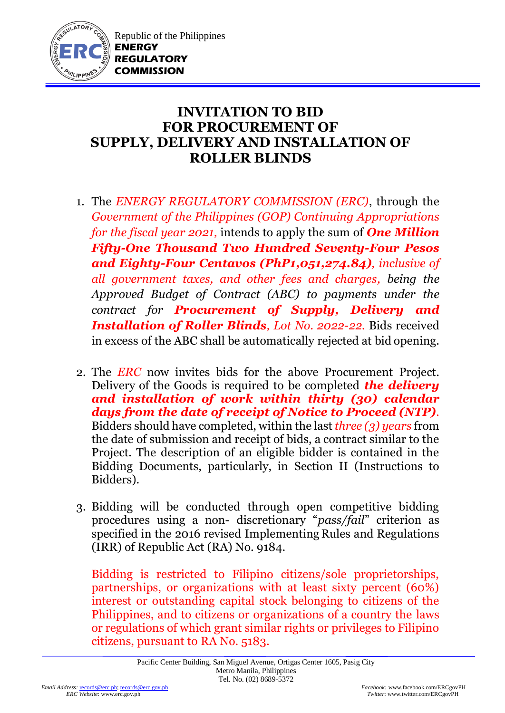

## **INVITATION TO BID FOR PROCUREMENT OF SUPPLY, DELIVERY AND INSTALLATION OF ROLLER BLINDS**

- 1. The *ENERGY REGULATORY COMMISSION (ERC)*, through the *Government of the Philippines (GOP) Continuing Appropriations for the fiscal year 2021,* intends to apply the sum of *One Million Fifty-One Thousand Two Hundred Seventy-Four Pesos and Eighty-Four Centavos (PhP1,051,274.84), inclusive of all government taxes, and other fees and charges, being the Approved Budget of Contract (ABC) to payments under the contract for Procurement of Supply, Delivery and Installation of Roller Blinds, Lot No. 2022-22.* Bids received in excess of the ABC shall be automatically rejected at bid opening.
- 2. The *ERC* now invites bids for the above Procurement Project. Delivery of the Goods is required to be completed *the delivery and installation of work within thirty (30) calendar days from the date of receipt of Notice to Proceed (NTP).* Bidders should have completed, within the last *three (3) years* from the date of submission and receipt of bids, a contract similar to the Project. The description of an eligible bidder is contained in the Bidding Documents, particularly, in Section II (Instructions to Bidders).
- 3. Bidding will be conducted through open competitive bidding procedures using a non- discretionary "*pass/fail*" criterion as specified in the 2016 revised Implementing Rules and Regulations (IRR) of Republic Act (RA) No. 9184.

Bidding is restricted to Filipino citizens/sole proprietorships, partnerships, or organizations with at least sixty percent (60%) interest or outstanding capital stock belonging to citizens of the Philippines, and to citizens or organizations of a country the laws or regulations of which grant similar rights or privileges to Filipino citizens, pursuant to RA No. 5183.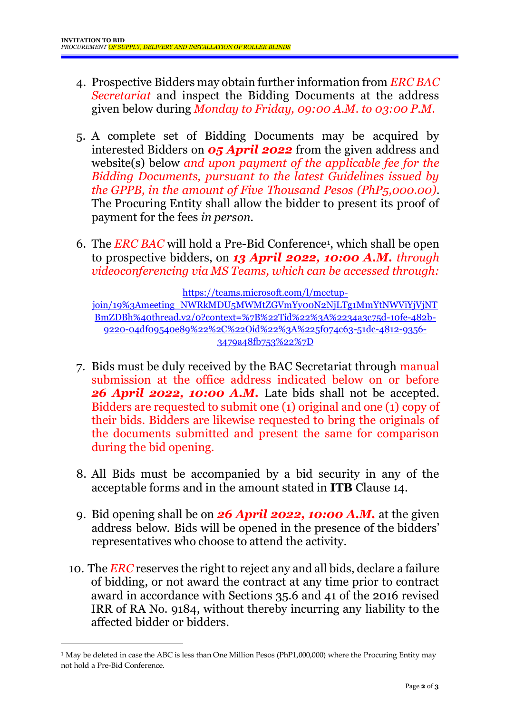- 4. Prospective Bidders may obtain further information from *ERC BAC Secretariat* and inspect the Bidding Documents at the address given below during *Monday to Friday, 09:00 A.M. to 03:00 P.M*.
- 5. A complete set of Bidding Documents may be acquired by interested Bidders on *05 April 2022* from the given address and website(s) below *and upon payment of the applicable fee for the Bidding Documents, pursuant to the latest Guidelines issued by the GPPB, in the amount of Five Thousand Pesos (PhP5,000.00)*. The Procuring Entity shall allow the bidder to present its proof of payment for the fees *in person.*
- 6. The *ERC BAC* will hold a Pre-Bid Conference<sup>1</sup> , which shall be open to prospective bidders, on *13 April 2022, 10:00 A.M. through videoconferencing via MS Teams, which can be accessed through:*

[https://teams.microsoft.com/l/meetup-](https://teams.microsoft.com/l/meetup-join/19%3Ameeting_NWRkMDU5MWMtZGVmYy00N2NjLTg1MmYtNWViYjVjNTBmZDBh%40thread.v2/0?context=%7B%22Tid%22%3A%2234a3c75d-10fe-482b-9220-04df09540e89%22%2C%22Oid%22%3A%225f074c63-51dc-4812-9356-3479a48fb753%22%7D)

[join/19%3Ameeting\\_NWRkMDU5MWMtZGVmYy00N2NjLTg1MmYtNWViYjVjNT](https://teams.microsoft.com/l/meetup-join/19%3Ameeting_NWRkMDU5MWMtZGVmYy00N2NjLTg1MmYtNWViYjVjNTBmZDBh%40thread.v2/0?context=%7B%22Tid%22%3A%2234a3c75d-10fe-482b-9220-04df09540e89%22%2C%22Oid%22%3A%225f074c63-51dc-4812-9356-3479a48fb753%22%7D) [BmZDBh%40thread.v2/0?context=%7B%22Tid%22%3A%2234a3c75d-10fe-482b-](https://teams.microsoft.com/l/meetup-join/19%3Ameeting_NWRkMDU5MWMtZGVmYy00N2NjLTg1MmYtNWViYjVjNTBmZDBh%40thread.v2/0?context=%7B%22Tid%22%3A%2234a3c75d-10fe-482b-9220-04df09540e89%22%2C%22Oid%22%3A%225f074c63-51dc-4812-9356-3479a48fb753%22%7D)[9220-04df09540e89%22%2C%22Oid%22%3A%225f074c63-51dc-4812-9356-](https://teams.microsoft.com/l/meetup-join/19%3Ameeting_NWRkMDU5MWMtZGVmYy00N2NjLTg1MmYtNWViYjVjNTBmZDBh%40thread.v2/0?context=%7B%22Tid%22%3A%2234a3c75d-10fe-482b-9220-04df09540e89%22%2C%22Oid%22%3A%225f074c63-51dc-4812-9356-3479a48fb753%22%7D) [3479a48fb753%22%7D](https://teams.microsoft.com/l/meetup-join/19%3Ameeting_NWRkMDU5MWMtZGVmYy00N2NjLTg1MmYtNWViYjVjNTBmZDBh%40thread.v2/0?context=%7B%22Tid%22%3A%2234a3c75d-10fe-482b-9220-04df09540e89%22%2C%22Oid%22%3A%225f074c63-51dc-4812-9356-3479a48fb753%22%7D)

- 7. Bids must be duly received by the BAC Secretariat through manual submission at the office address indicated below on or before *26 April 2022, 10:00 A.M.* Late bids shall not be accepted. Bidders are requested to submit one (1) original and one (1) copy of their bids. Bidders are likewise requested to bring the originals of the documents submitted and present the same for comparison during the bid opening.
- 8. All Bids must be accompanied by a bid security in any of the acceptable forms and in the amount stated in **ITB** Clause 14.
- 9. Bid opening shall be on *26 April 2022, 10:00 A.M.* at the given address below. Bids will be opened in the presence of the bidders' representatives who choose to attend the activity.
- 10. The *ERC* reserves the right to reject any and all bids, declare a failure of bidding, or not award the contract at any time prior to contract award in accordance with Sections 35.6 and 41 of the 2016 revised IRR of RA No. 9184, without thereby incurring any liability to the affected bidder or bidders.

1

<sup>&</sup>lt;sup>1</sup> May be deleted in case the ABC is less than One Million Pesos (PhP1,000,000) where the Procuring Entity may not hold a Pre-Bid Conference.